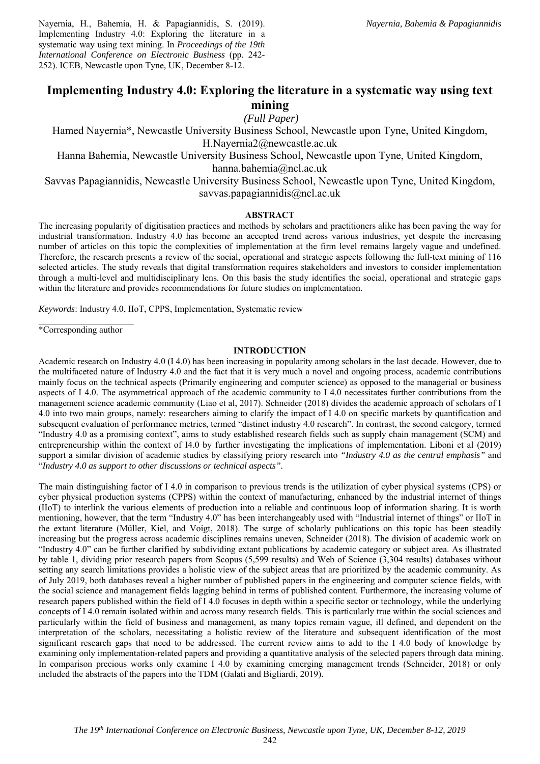Nayernia, H., Bahemia, H. & Papagiannidis, S. (2019). Implementing Industry 4.0: Exploring the literature in a systematic way using text mining. In *Proceedings of the 19th International Conference on Electronic Business* (pp. 242- 252). ICEB, Newcastle upon Tyne, UK, December 8-12.

# **Implementing Industry 4.0: Exploring the literature in a systematic way using text mining**

 *(Full Paper)* 

Hamed Nayernia\*, Newcastle University Business School, Newcastle upon Tyne, United Kingdom, H.Nayernia2@newcastle.ac.uk

Hanna Bahemia, Newcastle University Business School, Newcastle upon Tyne, United Kingdom, hanna.bahemia@ncl.ac.uk

Savvas Papagiannidis, Newcastle University Business School, Newcastle upon Tyne, United Kingdom, savvas.papagiannidis@ncl.ac.uk

# **ABSTRACT**

The increasing popularity of digitisation practices and methods by scholars and practitioners alike has been paving the way for industrial transformation. Industry 4.0 has become an accepted trend across various industries, yet despite the increasing number of articles on this topic the complexities of implementation at the firm level remains largely vague and undefined. Therefore, the research presents a review of the social, operational and strategic aspects following the full-text mining of 116 selected articles. The study reveals that digital transformation requires stakeholders and investors to consider implementation through a multi-level and multidisciplinary lens. On this basis the study identifies the social, operational and strategic gaps within the literature and provides recommendations for future studies on implementation.

*Keywords*: Industry 4.0, IIoT, CPPS, Implementation, Systematic review

 $\overline{\phantom{a}}$  , where  $\overline{\phantom{a}}$ \*Corresponding author

# **INTRODUCTION**

Academic research on Industry 4.0 (I 4.0) has been increasing in popularity among scholars in the last decade. However, due to the multifaceted nature of Industry 4.0 and the fact that it is very much a novel and ongoing process, academic contributions mainly focus on the technical aspects (Primarily engineering and computer science) as opposed to the managerial or business aspects of I 4.0. The asymmetrical approach of the academic community to I 4.0 necessitates further contributions from the management science academic community (Liao et al, 2017). Schneider (2018) divides the academic approach of scholars of I 4.0 into two main groups, namely: researchers aiming to clarify the impact of I 4.0 on specific markets by quantification and subsequent evaluation of performance metrics, termed "distinct industry 4.0 research". In contrast, the second category, termed "Industry 4.0 as a promising context", aims to study established research fields such as supply chain management (SCM) and entrepreneurship within the context of I4.0 by further investigating the implications of implementation. Liboni et al (2019) support a similar division of academic studies by classifying priory research into *"Industry 4.0 as the central emphasis"* and "*Industry 4.0 as support to other discussions or technical aspects".* 

The main distinguishing factor of I 4.0 in comparison to previous trends is the utilization of cyber physical systems (CPS) or cyber physical production systems (CPPS) within the context of manufacturing, enhanced by the industrial internet of things (IIoT) to interlink the various elements of production into a reliable and continuous loop of information sharing. It is worth mentioning, however, that the term "Industry 4.0" has been interchangeably used with "Industrial internet of things" or IIoT in the extant literature (Müller, Kiel, and Voigt, 2018). The surge of scholarly publications on this topic has been steadily increasing but the progress across academic disciplines remains uneven, Schneider (2018). The division of academic work on "Industry 4.0" can be further clarified by subdividing extant publications by academic category or subject area. As illustrated by table 1, dividing prior research papers from Scopus (5,599 results) and Web of Science (3,304 results) databases without setting any search limitations provides a holistic view of the subject areas that are prioritized by the academic community. As of July 2019, both databases reveal a higher number of published papers in the engineering and computer science fields, with the social science and management fields lagging behind in terms of published content. Furthermore, the increasing volume of research papers published within the field of I 4.0 focuses in depth within a specific sector or technology, while the underlying concepts of I 4.0 remain isolated within and across many research fields. This is particularly true within the social sciences and particularly within the field of business and management, as many topics remain vague, ill defined, and dependent on the interpretation of the scholars, necessitating a holistic review of the literature and subsequent identification of the most significant research gaps that need to be addressed. The current review aims to add to the I 4.0 body of knowledge by examining only implementation-related papers and providing a quantitative analysis of the selected papers through data mining. In comparison precious works only examine I 4.0 by examining emerging management trends (Schneider, 2018) or only included the abstracts of the papers into the TDM (Galati and Bigliardi, 2019).

242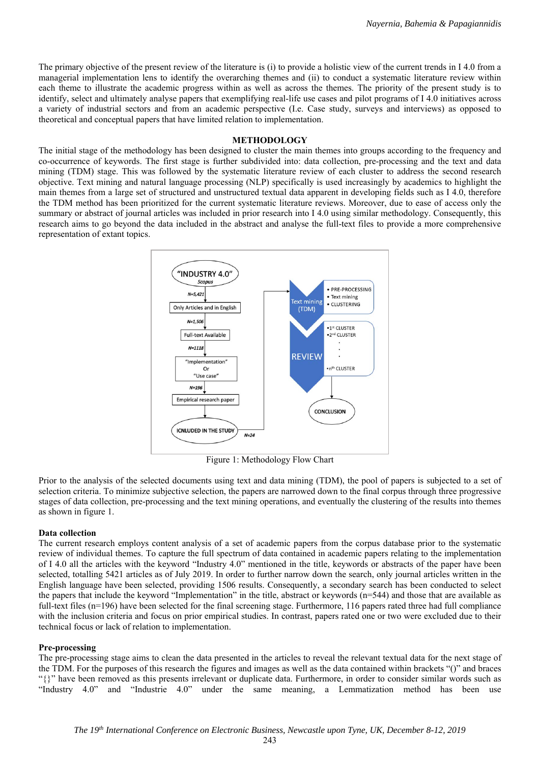The primary objective of the present review of the literature is (i) to provide a holistic view of the current trends in I 4.0 from a managerial implementation lens to identify the overarching themes and (ii) to conduct a systematic literature review within each theme to illustrate the academic progress within as well as across the themes. The priority of the present study is to identify, select and ultimately analyse papers that exemplifying real-life use cases and pilot programs of I 4.0 initiatives across a variety of industrial sectors and from an academic perspective (I.e. Case study, surveys and interviews) as opposed to theoretical and conceptual papers that have limited relation to implementation.

#### **METHODOLOGY**

The initial stage of the methodology has been designed to cluster the main themes into groups according to the frequency and co-occurrence of keywords. The first stage is further subdivided into: data collection, pre-processing and the text and data mining (TDM) stage. This was followed by the systematic literature review of each cluster to address the second research objective. Text mining and natural language processing (NLP) specifically is used increasingly by academics to highlight the main themes from a large set of structured and unstructured textual data apparent in developing fields such as I 4.0, therefore the TDM method has been prioritized for the current systematic literature reviews. Moreover, due to ease of access only the summary or abstract of journal articles was included in prior research into I 4.0 using similar methodology. Consequently, this research aims to go beyond the data included in the abstract and analyse the full-text files to provide a more comprehensive representation of extant topics.



Figure 1: Methodology Flow Chart

Prior to the analysis of the selected documents using text and data mining (TDM), the pool of papers is subjected to a set of selection criteria. To minimize subjective selection, the papers are narrowed down to the final corpus through three progressive stages of data collection, pre-processing and the text mining operations, and eventually the clustering of the results into themes as shown in figure 1.

#### **Data collection**

The current research employs content analysis of a set of academic papers from the corpus database prior to the systematic review of individual themes. To capture the full spectrum of data contained in academic papers relating to the implementation of I 4.0 all the articles with the keyword "Industry 4.0" mentioned in the title, keywords or abstracts of the paper have been selected, totalling 5421 articles as of July 2019. In order to further narrow down the search, only journal articles written in the English language have been selected, providing 1506 results. Consequently, a secondary search has been conducted to select the papers that include the keyword "Implementation" in the title, abstract or keywords  $(n=544)$  and those that are available as full-text files (n=196) have been selected for the final screening stage. Furthermore, 116 papers rated three had full compliance with the inclusion criteria and focus on prior empirical studies. In contrast, papers rated one or two were excluded due to their technical focus or lack of relation to implementation.

#### **Pre-processing**

The pre-processing stage aims to clean the data presented in the articles to reveal the relevant textual data for the next stage of the TDM. For the purposes of this research the figures and images as well as the data contained within brackets "()" and braces "{}" have been removed as this presents irrelevant or duplicate data. Furthermore, in order to consider similar words such as "Industry 4.0" and "Industrie 4.0" under the same meaning, a Lemmatization method has been use

243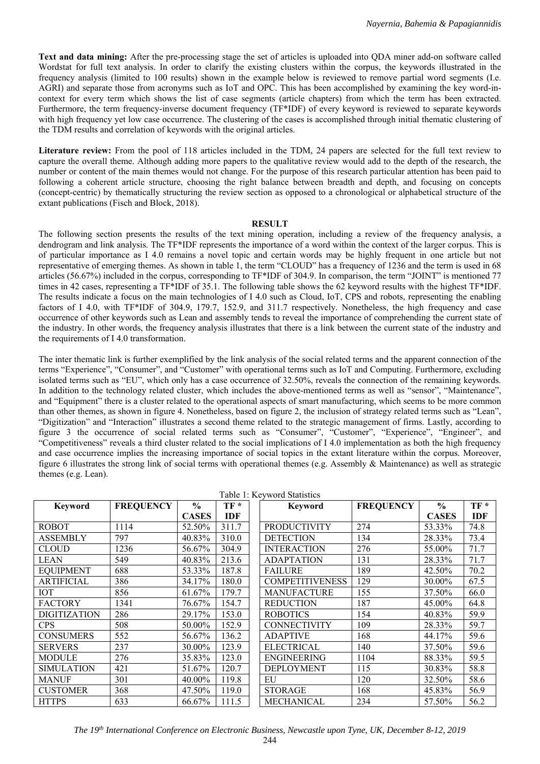**Text and data mining:** After the pre-processing stage the set of articles is uploaded into QDA miner add-on software called Wordstat for full text analysis. In order to clarify the existing clusters within the corpus, the keywords illustrated in the frequency analysis (limited to 100 results) shown in the example below is reviewed to remove partial word segments (I.e. AGRI) and separate those from acronyms such as IoT and OPC. This has been accomplished by examining the key word-incontext for every term which shows the list of case segments (article chapters) from which the term has been extracted. Furthermore, the term frequency-inverse document frequency (TF\*IDF) of every keyword is reviewed to separate keywords with high frequency yet low case occurrence. The clustering of the cases is accomplished through initial thematic clustering of the TDM results and correlation of keywords with the original articles.

**Literature review:** From the pool of 118 articles included in the TDM, 24 papers are selected for the full text review to capture the overall theme. Although adding more papers to the qualitative review would add to the depth of the research, the number or content of the main themes would not change. For the purpose of this research particular attention has been paid to following a coherent article structure, choosing the right balance between breadth and depth, and focusing on concepts (concept-centric) by thematically structuring the review section as opposed to a chronological or alphabetical structure of the extant publications (Fisch and Block, 2018).

### **RESULT**

The following section presents the results of the text mining operation, including a review of the frequency analysis, a dendrogram and link analysis. The TF\*IDF represents the importance of a word within the context of the larger corpus. This is of particular importance as I 4.0 remains a novel topic and certain words may be highly frequent in one article but not representative of emerging themes. As shown in table 1, the term "CLOUD" has a frequency of 1236 and the term is used in 68 articles (56.67%) included in the corpus, corresponding to TF\*IDF of 304.9. In comparison, the term "JOINT" is mentioned 77 times in 42 cases, representing a TF\*IDF of 35.1. The following table shows the 62 keyword results with the highest TF\*IDF. The results indicate a focus on the main technologies of I 4.0 such as Cloud, IoT, CPS and robots, representing the enabling factors of I 4.0, with TF\*IDF of 304.9, 179.7, 152.9, and 311.7 respectively. Nonetheless, the high frequency and case occurrence of other keywords such as Lean and assembly tends to reveal the importance of comprehending the current state of the industry. In other words, the frequency analysis illustrates that there is a link between the current state of the industry and the requirements of I 4.0 transformation.

The inter thematic link is further exemplified by the link analysis of the social related terms and the apparent connection of the terms "Experience", "Consumer", and "Customer" with operational terms such as IoT and Computing. Furthermore, excluding isolated terms such as "EU", which only has a case occurrence of 32.50%, reveals the connection of the remaining keywords. In addition to the technology related cluster, which includes the above-mentioned terms as well as "sensor", "Maintenance", and "Equipment" there is a cluster related to the operational aspects of smart manufacturing, which seems to be more common than other themes, as shown in figure 4. Nonetheless, based on figure 2, the inclusion of strategy related terms such as "Lean", "Digitization" and "Interaction" illustrates a second theme related to the strategic management of firms. Lastly, according to figure 3 the occurrence of social related terms such as "Consumer", "Customer", "Experience", "Engineer", and "Competitiveness" reveals a third cluster related to the social implications of I 4.0 implementation as both the high frequency and case occurrence implies the increasing importance of social topics in the extant literature within the corpus. Moreover, figure 6 illustrates the strong link of social terms with operational themes (e.g. Assembly & Maintenance) as well as strategic themes (e.g. Lean).

| <b>Keyword</b>      | <b>FREQUENCY</b> | $\frac{6}{9}$ | $TF*$      | <b>Keyword</b>         | <b>FREQUENCY</b> | $\frac{6}{6}$ | $TF*$ |
|---------------------|------------------|---------------|------------|------------------------|------------------|---------------|-------|
|                     |                  | <b>CASES</b>  | <b>IDF</b> |                        |                  | <b>CASES</b>  | IDF   |
| <b>ROBOT</b>        | 1114             | 52.50%        | 311.7      | <b>PRODUCTIVITY</b>    | 274              | 53.33%        | 74.8  |
| ASSEMBLY            | 797              | 40.83%        | 310.0      | <b>DETECTION</b>       | 134              | 28.33%        | 73.4  |
| <b>CLOUD</b>        | 1236             | 56.67%        | 304.9      | <b>INTERACTION</b>     | 276              | 55.00%        | 71.7  |
| <b>LEAN</b>         | 549              | 40.83%        | 213.6      | <b>ADAPTATION</b>      | 131              | 28.33%        | 71.7  |
| <b>EQUIPMENT</b>    | 688              | 53.33%        | 187.8      | <b>FAILURE</b>         | 189              | 42.50%        | 70.2  |
| ARTIFICIAL          | 386              | 34.17%        | 180.0      | <b>COMPETITIVENESS</b> | 129              | 30.00%        | 67.5  |
| ЮT                  | 856              | 61.67%        | 179.7      | <b>MANUFACTURE</b>     | 155              | 37.50%        | 66.0  |
| <b>FACTORY</b>      | 1341             | 76.67%        | 154.7      | <b>REDUCTION</b>       | 187              | 45.00%        | 64.8  |
| <b>DIGITIZATION</b> | 286              | 29.17%        | 153.0      | <b>ROBOTICS</b>        | 154              | 40.83%        | 59.9  |
| <b>CPS</b>          | 508              | 50.00%        | 152.9      | <b>CONNECTIVITY</b>    | 109              | 28.33%        | 59.7  |
| <b>CONSUMERS</b>    | 552              | 56.67%        | 136.2      | <b>ADAPTIVE</b>        | 168              | 44.17%        | 59.6  |
| <b>SERVERS</b>      | 237              | 30.00%        | 123.9      | <b>ELECTRICAL</b>      | 140              | 37.50%        | 59.6  |
| MODULE              | 276              | 35.83%        | 123.0      | <b>ENGINEERING</b>     | 1104             | 88.33%        | 59.5  |
| <b>SIMULATION</b>   | 421              | 51.67%        | 120.7      | <b>DEPLOYMENT</b>      | 115              | 30.83%        | 58.8  |
| MANUF               | 301              | 40.00%        | 119.8      | EU                     | 120              | 32.50%        | 58.6  |
| <b>CUSTOMER</b>     | 368              | 47.50%        | 119.0      | <b>STORAGE</b>         | 168              | 45.83%        | 56.9  |
| <b>HTTPS</b>        | 633              | 66.67%        | 111.5      | <b>MECHANICAL</b>      | 234              | 57.50%        | 56.2  |

 $T_{\text{a}}l_{\text{b}}l_{\text{c}}$  1:  $V_{\text{c}}$   $T_{\text{c}}$   $\approx$   $T_{\text{c}}l_{\text{c}}$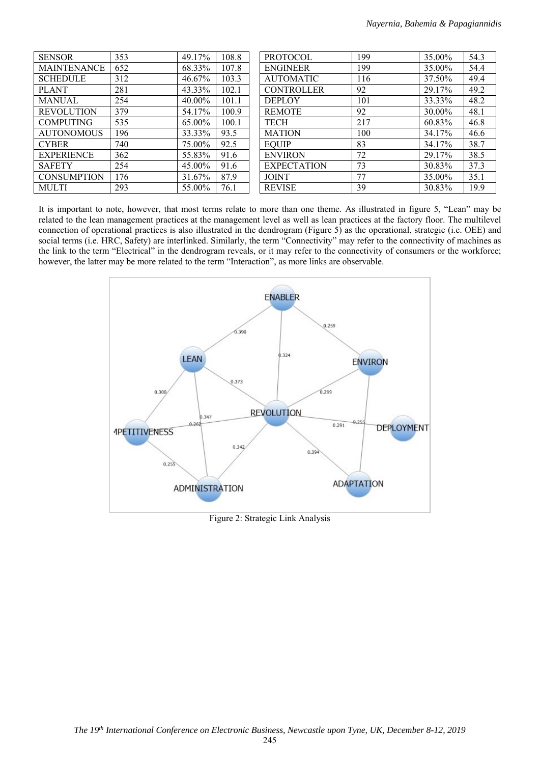| <b>SENSOR</b>      | 353 | 49.17% | 108.8 | <b>PROTOCOL</b>    | 199 | 35.00% | 54.3 |
|--------------------|-----|--------|-------|--------------------|-----|--------|------|
| <b>MAINTENANCE</b> | 652 | 68.33% | 107.8 | <b>ENGINEER</b>    | 199 | 35.00% | 54.4 |
| <b>SCHEDULE</b>    | 312 | 46.67% | 103.3 | <b>AUTOMATIC</b>   | 116 | 37.50% | 49.4 |
| <b>PLANT</b>       | 281 | 43.33% | 102.1 | <b>CONTROLLER</b>  | 92  | 29.17% | 49.2 |
| <b>MANUAL</b>      | 254 | 40.00% | 101.1 | <b>DEPLOY</b>      | 101 | 33.33% | 48.2 |
| <b>REVOLUTION</b>  | 379 | 54.17% | 100.9 | <b>REMOTE</b>      | 92  | 30.00% | 48.1 |
| <b>COMPUTING</b>   | 535 | 65.00% | 100.1 | <b>TECH</b>        | 217 | 60.83% | 46.8 |
| <b>AUTONOMOUS</b>  | 196 | 33.33% | 93.5  | <b>MATION</b>      | 100 | 34.17% | 46.6 |
| <b>CYBER</b>       | 740 | 75.00% | 92.5  | <b>EOUIP</b>       | 83  | 34.17% | 38.7 |
| <b>EXPERIENCE</b>  | 362 | 55.83% | 91.6  | <b>ENVIRON</b>     | 72  | 29.17% | 38.5 |
| <b>SAFETY</b>      | 254 | 45.00% | 91.6  | <b>EXPECTATION</b> | 73  | 30.83% | 37.3 |
| <b>CONSUMPTION</b> | 176 | 31.67% | 87.9  | <b>JOINT</b>       | 77  | 35.00% | 35.1 |
| <b>MULTI</b>       | 293 | 55.00% | 76.1  | <b>REVISE</b>      | 39  | 30.83% | 19.9 |

It is important to note, however, that most terms relate to more than one theme. As illustrated in figure 5, "Lean" may be related to the lean management practices at the management level as well as lean practices at the factory floor. The multilevel connection of operational practices is also illustrated in the dendrogram (Figure 5) as the operational, strategic (i.e. OEE) and social terms (i.e. HRC, Safety) are interlinked. Similarly, the term "Connectivity" may refer to the connectivity of machines as the link to the term "Electrical" in the dendrogram reveals, or it may refer to the connectivity of consumers or the workforce; however, the latter may be more related to the term "Interaction", as more links are observable.



Figure 2: Strategic Link Analysis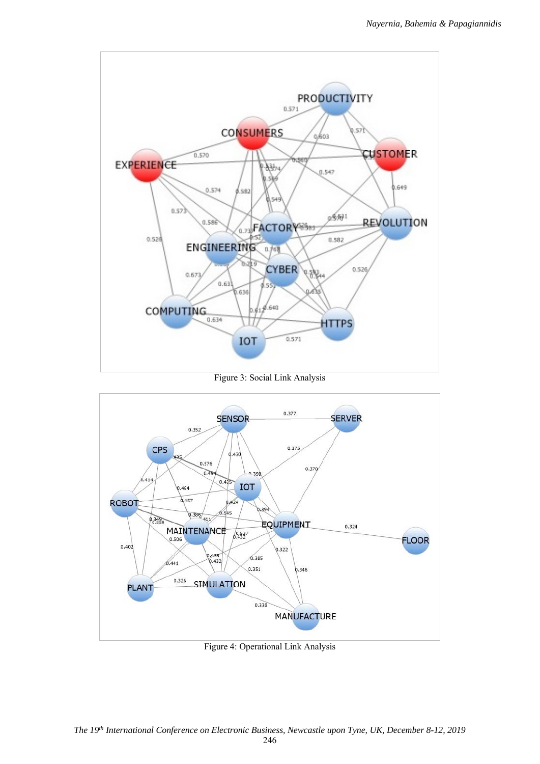

Figure 3: Social Link Analysis



Figure 4: Operational Link Analysis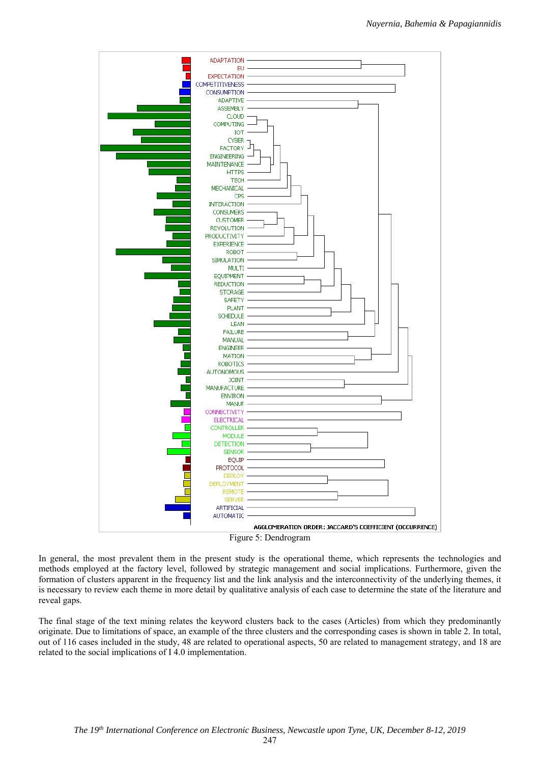

In general, the most prevalent them in the present study is the operational theme, which represents the technologies and methods employed at the factory level, followed by strategic management and social implications. Furthermore, given the formation of clusters apparent in the frequency list and the link analysis and the interconnectivity of the underlying themes, it is necessary to review each theme in more detail by qualitative analysis of each case to determine the state of the literature and reveal gaps.

The final stage of the text mining relates the keyword clusters back to the cases (Articles) from which they predominantly originate. Due to limitations of space, an example of the three clusters and the corresponding cases is shown in table 2. In total, out of 116 cases included in the study, 48 are related to operational aspects, 50 are related to management strategy, and 18 are related to the social implications of I 4.0 implementation.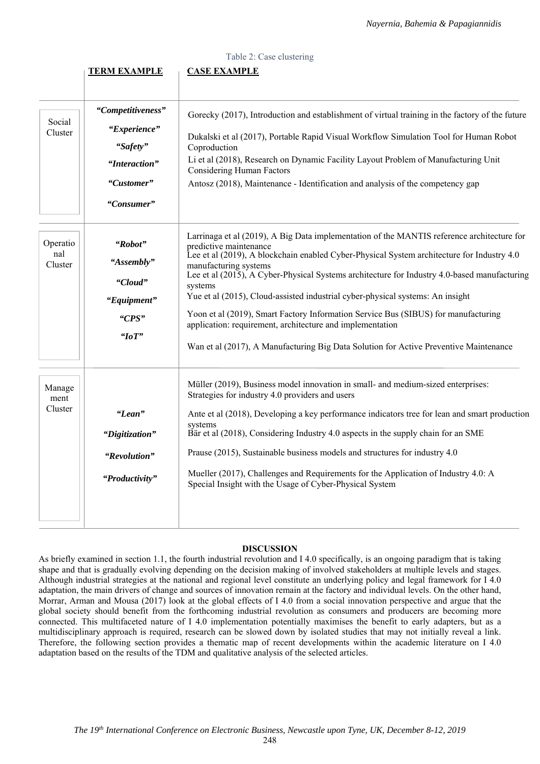|                            |                                                                                            | Table 2: Case clustering                                                                                                                                                                                                                                                                                                                                                                                                                                                                                                                                                                                                                                                             |
|----------------------------|--------------------------------------------------------------------------------------------|--------------------------------------------------------------------------------------------------------------------------------------------------------------------------------------------------------------------------------------------------------------------------------------------------------------------------------------------------------------------------------------------------------------------------------------------------------------------------------------------------------------------------------------------------------------------------------------------------------------------------------------------------------------------------------------|
|                            | <b>TERM EXAMPLE</b>                                                                        | <b>CASE EXAMPLE</b>                                                                                                                                                                                                                                                                                                                                                                                                                                                                                                                                                                                                                                                                  |
| Social<br>Cluster          | "Competitiveness"<br>"Experience"<br>"Safety"<br>"Interaction"<br>"Customer"<br>"Consumer" | Gorecky (2017), Introduction and establishment of virtual training in the factory of the future<br>Dukalski et al (2017), Portable Rapid Visual Workflow Simulation Tool for Human Robot<br>Coproduction<br>Li et al (2018), Research on Dynamic Facility Layout Problem of Manufacturing Unit<br><b>Considering Human Factors</b><br>Antosz (2018), Maintenance - Identification and analysis of the competency gap                                                                                                                                                                                                                                                                 |
| Operatio<br>nal<br>Cluster | "Robot"<br>"Assembly"<br>"Cloud"<br>"Equipment"<br>"CPS"<br>"IoT"                          | Larrinaga et al (2019), A Big Data implementation of the MANTIS reference architecture for<br>predictive maintenance<br>Lee et al (2019), A blockchain enabled Cyber-Physical System architecture for Industry 4.0<br>manufacturing systems<br>Lee et al (2015), A Cyber-Physical Systems architecture for Industry 4.0-based manufacturing<br>systems<br>Yue et al (2015), Cloud-assisted industrial cyber-physical systems: An insight<br>Yoon et al (2019), Smart Factory Information Service Bus (SIBUS) for manufacturing<br>application: requirement, architecture and implementation<br>Wan et al (2017), A Manufacturing Big Data Solution for Active Preventive Maintenance |
| Manage<br>ment<br>Cluster  | "Lean"<br>"Digitization"<br>"Revolution"<br>"Productivity"                                 | Müller (2019), Business model innovation in small- and medium-sized enterprises:<br>Strategies for industry 4.0 providers and users<br>Ante et al (2018), Developing a key performance indicators tree for lean and smart production<br>systems<br>Bär et al (2018), Considering Industry 4.0 aspects in the supply chain for an SME<br>Prause (2015), Sustainable business models and structures for industry 4.0<br>Mueller (2017), Challenges and Requirements for the Application of Industry 4.0: A<br>Special Insight with the Usage of Cyber-Physical System                                                                                                                  |

# **DISCUSSION**

As briefly examined in section 1.1, the fourth industrial revolution and I 4.0 specifically, is an ongoing paradigm that is taking shape and that is gradually evolving depending on the decision making of involved stakeholders at multiple levels and stages. Although industrial strategies at the national and regional level constitute an underlying policy and legal framework for I 4.0 adaptation, the main drivers of change and sources of innovation remain at the factory and individual levels. On the other hand, Morrar, Arman and Mousa (2017) look at the global effects of I 4.0 from a social innovation perspective and argue that the global society should benefit from the forthcoming industrial revolution as consumers and producers are becoming more connected. This multifaceted nature of I 4.0 implementation potentially maximises the benefit to early adapters, but as a multidisciplinary approach is required, research can be slowed down by isolated studies that may not initially reveal a link. Therefore, the following section provides a thematic map of recent developments within the academic literature on I 4.0 adaptation based on the results of the TDM and qualitative analysis of the selected articles.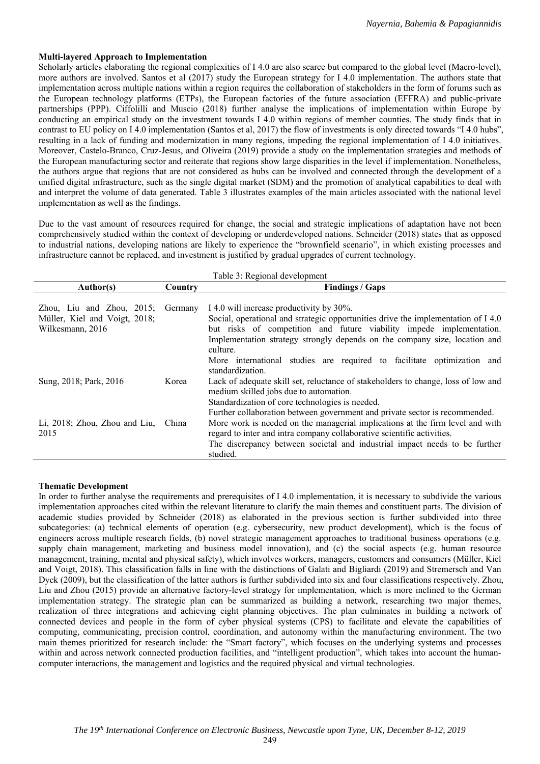# **Multi-layered Approach to Implementation**

Scholarly articles elaborating the regional complexities of I 4.0 are also scarce but compared to the global level (Macro-level), more authors are involved. Santos et al (2017) study the European strategy for I 4.0 implementation. The authors state that implementation across multiple nations within a region requires the collaboration of stakeholders in the form of forums such as the European technology platforms (ETPs), the European factories of the future association (EFFRA) and public-private partnerships (PPP). Ciffolilli and Muscio (2018) further analyse the implications of implementation within Europe by conducting an empirical study on the investment towards I 4.0 within regions of member counties. The study finds that in contrast to EU policy on I 4.0 implementation (Santos et al, 2017) the flow of investments is only directed towards "I 4.0 hubs", resulting in a lack of funding and modernization in many regions, impeding the regional implementation of I 4.0 initiatives. Moreover, Castelo-Branco, Cruz-Jesus, and Oliveira (2019) provide a study on the implementation strategies and methods of the European manufacturing sector and reiterate that regions show large disparities in the level if implementation. Nonetheless, the authors argue that regions that are not considered as hubs can be involved and connected through the development of a unified digital infrastructure, such as the single digital market (SDM) and the promotion of analytical capabilities to deal with and interpret the volume of data generated. Table 3 illustrates examples of the main articles associated with the national level implementation as well as the findings.

Due to the vast amount of resources required for change, the social and strategic implications of adaptation have not been comprehensively studied within the context of developing or underdeveloped nations. Schneider (2018) states that as opposed to industrial nations, developing nations are likely to experience the "brownfield scenario", in which existing processes and infrastructure cannot be replaced, and investment is justified by gradual upgrades of current technology.

| Table 3: Regional development       |         |                                                                                                                             |  |  |  |
|-------------------------------------|---------|-----------------------------------------------------------------------------------------------------------------------------|--|--|--|
| Author(s)                           | Country | <b>Findings / Gaps</b>                                                                                                      |  |  |  |
| Zhou, Liu and Zhou, $2015$ ;        |         | I 4.0 will increase productivity by 30%.                                                                                    |  |  |  |
|                                     | Germany | Social, operational and strategic opportunities drive the implementation of I 4.0                                           |  |  |  |
| Müller, Kiel and Voigt, 2018;       |         |                                                                                                                             |  |  |  |
| Wilkesmann, 2016                    |         | but risks of competition and future viability impede implementation.                                                        |  |  |  |
|                                     |         | Implementation strategy strongly depends on the company size, location and<br>culture.                                      |  |  |  |
|                                     |         | More international studies are required to facilitate optimization and<br>standardization.                                  |  |  |  |
| Sung, 2018; Park, 2016              | Korea   | Lack of adequate skill set, reluctance of stakeholders to change, loss of low and<br>medium skilled jobs due to automation. |  |  |  |
|                                     |         | Standardization of core technologies is needed.                                                                             |  |  |  |
|                                     |         | Further collaboration between government and private sector is recommended.                                                 |  |  |  |
| Li, 2018; Zhou, Zhou and Liu, China |         | More work is needed on the managerial implications at the firm level and with                                               |  |  |  |
| 2015                                |         | regard to inter and intra company collaborative scientific activities.                                                      |  |  |  |
|                                     |         | The discrepancy between societal and industrial impact needs to be further<br>studied.                                      |  |  |  |
|                                     |         |                                                                                                                             |  |  |  |

# **Thematic Development**

In order to further analyse the requirements and prerequisites of I 4.0 implementation, it is necessary to subdivide the various implementation approaches cited within the relevant literature to clarify the main themes and constituent parts. The division of academic studies provided by Schneider (2018) as elaborated in the previous section is further subdivided into three subcategories: (a) technical elements of operation (e.g. cybersecurity, new product development), which is the focus of engineers across multiple research fields, (b) novel strategic management approaches to traditional business operations (e.g. supply chain management, marketing and business model innovation), and (c) the social aspects (e.g. human resource management, training, mental and physical safety), which involves workers, managers, customers and consumers (Müller, Kiel and Voigt, 2018). This classification falls in line with the distinctions of Galati and Bigliardi (2019) and Stremersch and Van Dyck (2009), but the classification of the latter authors is further subdivided into six and four classifications respectively. Zhou, Liu and Zhou (2015) provide an alternative factory-level strategy for implementation, which is more inclined to the German implementation strategy. The strategic plan can be summarized as building a network, researching two major themes, realization of three integrations and achieving eight planning objectives. The plan culminates in building a network of connected devices and people in the form of cyber physical systems (CPS) to facilitate and elevate the capabilities of computing, communicating, precision control, coordination, and autonomy within the manufacturing environment. The two main themes prioritized for research include: the "Smart factory", which focuses on the underlying systems and processes within and across network connected production facilities, and "intelligent production", which takes into account the humancomputer interactions, the management and logistics and the required physical and virtual technologies.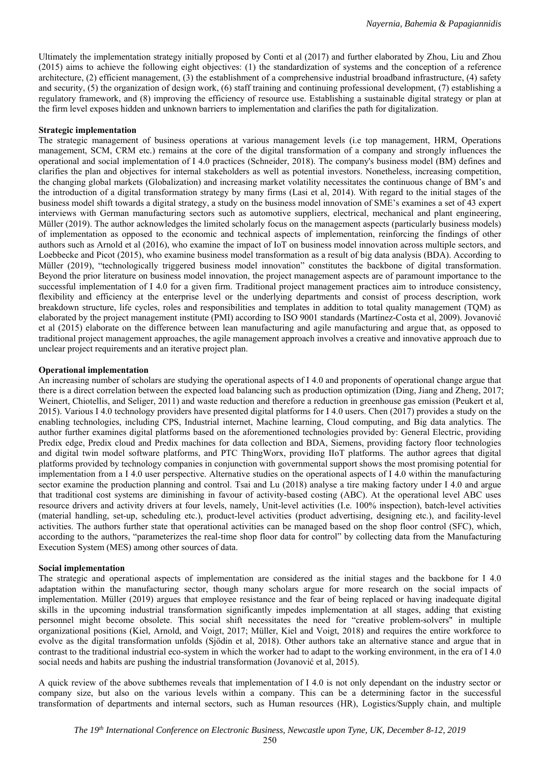Ultimately the implementation strategy initially proposed by Conti et al (2017) and further elaborated by Zhou, Liu and Zhou (2015) aims to achieve the following eight objectives: (1) the standardization of systems and the conception of a reference architecture, (2) efficient management, (3) the establishment of a comprehensive industrial broadband infrastructure, (4) safety and security, (5) the organization of design work, (6) staff training and continuing professional development, (7) establishing a regulatory framework, and (8) improving the efficiency of resource use. Establishing a sustainable digital strategy or plan at the firm level exposes hidden and unknown barriers to implementation and clarifies the path for digitalization.

#### **Strategic implementation**

The strategic management of business operations at various management levels (i.e top management, HRM, Operations management, SCM, CRM etc.) remains at the core of the digital transformation of a company and strongly influences the operational and social implementation of I 4.0 practices (Schneider, 2018). The company's business model (BM) defines and clarifies the plan and objectives for internal stakeholders as well as potential investors. Nonetheless, increasing competition, the changing global markets (Globalization) and increasing market volatility necessitates the continuous change of BM's and the introduction of a digital transformation strategy by many firms (Lasi et al, 2014). With regard to the initial stages of the business model shift towards a digital strategy, a study on the business model innovation of SME's examines a set of 43 expert interviews with German manufacturing sectors such as automotive suppliers, electrical, mechanical and plant engineering, Müller (2019). The author acknowledges the limited scholarly focus on the management aspects (particularly business models) of implementation as opposed to the economic and technical aspects of implementation, reinforcing the findings of other authors such as Arnold et al (2016), who examine the impact of IoT on business model innovation across multiple sectors, and Loebbecke and Picot (2015), who examine business model transformation as a result of big data analysis (BDA). According to Müller (2019), "technologically triggered business model innovation" constitutes the backbone of digital transformation. Beyond the prior literature on business model innovation, the project management aspects are of paramount importance to the successful implementation of I 4.0 for a given firm. Traditional project management practices aim to introduce consistency, flexibility and efficiency at the enterprise level or the underlying departments and consist of process description, work breakdown structure, life cycles, roles and responsibilities and templates in addition to total quality management (TQM) as elaborated by the project management institute (PMI) according to ISO 9001 standards (Martínez-Costa et al, 2009). Jovanović et al (2015) elaborate on the difference between lean manufacturing and agile manufacturing and argue that, as opposed to traditional project management approaches, the agile management approach involves a creative and innovative approach due to unclear project requirements and an iterative project plan.

### **Operational implementation**

An increasing number of scholars are studying the operational aspects of I 4.0 and proponents of operational change argue that there is a direct correlation between the expected load balancing such as production optimization (Ding, Jiang and Zheng, 2017; Weinert, Chiotellis, and Seliger, 2011) and waste reduction and therefore a reduction in greenhouse gas emission (Peukert et al, 2015). Various I 4.0 technology providers have presented digital platforms for I 4.0 users. Chen (2017) provides a study on the enabling technologies, including CPS, Industrial internet, Machine learning, Cloud computing, and Big data analytics. The author further examines digital platforms based on the aforementioned technologies provided by: General Electric, providing Predix edge, Predix cloud and Predix machines for data collection and BDA, Siemens, providing factory floor technologies and digital twin model software platforms, and PTC ThingWorx, providing IIoT platforms. The author agrees that digital platforms provided by technology companies in conjunction with governmental support shows the most promising potential for implementation from a I 4.0 user perspective. Alternative studies on the operational aspects of I 4.0 within the manufacturing sector examine the production planning and control. Tsai and Lu (2018) analyse a tire making factory under I 4.0 and argue that traditional cost systems are diminishing in favour of activity-based costing (ABC). At the operational level ABC uses resource drivers and activity drivers at four levels, namely, Unit-level activities (I.e. 100% inspection), batch-level activities (material handling, set-up, scheduling etc.), product-level activities (product advertising, designing etc.), and facility-level activities. The authors further state that operational activities can be managed based on the shop floor control (SFC), which, according to the authors, "parameterizes the real-time shop floor data for control" by collecting data from the Manufacturing Execution System (MES) among other sources of data.

#### **Social implementation**

The strategic and operational aspects of implementation are considered as the initial stages and the backbone for I 4.0 adaptation within the manufacturing sector, though many scholars argue for more research on the social impacts of implementation. Müller (2019) argues that employee resistance and the fear of being replaced or having inadequate digital skills in the upcoming industrial transformation significantly impedes implementation at all stages, adding that existing personnel might become obsolete. This social shift necessitates the need for "creative problem-solvers" in multiple organizational positions (Kiel, Arnold, and Voigt, 2017; Müller, Kiel and Voigt, 2018) and requires the entire workforce to evolve as the digital transformation unfolds (Sjödin et al, 2018). Other authors take an alternative stance and argue that in contrast to the traditional industrial eco-system in which the worker had to adapt to the working environment, in the era of I 4.0 social needs and habits are pushing the industrial transformation (Jovanović et al, 2015).

A quick review of the above subthemes reveals that implementation of I 4.0 is not only dependant on the industry sector or company size, but also on the various levels within a company. This can be a determining factor in the successful transformation of departments and internal sectors, such as Human resources (HR), Logistics/Supply chain, and multiple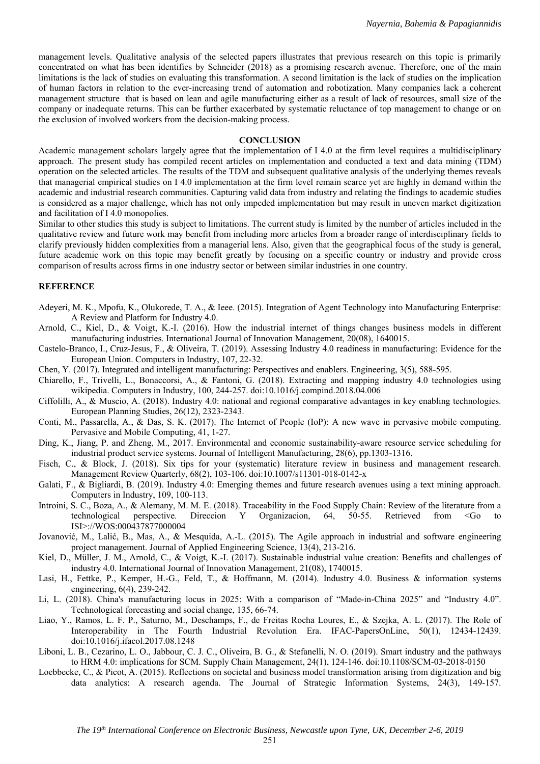management levels. Qualitative analysis of the selected papers illustrates that previous research on this topic is primarily concentrated on what has been identifies by Schneider (2018) as a promising research avenue. Therefore, one of the main limitations is the lack of studies on evaluating this transformation. A second limitation is the lack of studies on the implication of human factors in relation to the ever-increasing trend of automation and robotization. Many companies lack a coherent management structure that is based on lean and agile manufacturing either as a result of lack of resources, small size of the company or inadequate returns. This can be further exacerbated by systematic reluctance of top management to change or on the exclusion of involved workers from the decision-making process.

#### **CONCLUSION**

Academic management scholars largely agree that the implementation of I 4.0 at the firm level requires a multidisciplinary approach. The present study has compiled recent articles on implementation and conducted a text and data mining (TDM) operation on the selected articles. The results of the TDM and subsequent qualitative analysis of the underlying themes reveals that managerial empirical studies on I 4.0 implementation at the firm level remain scarce yet are highly in demand within the academic and industrial research communities. Capturing valid data from industry and relating the findings to academic studies is considered as a major challenge, which has not only impeded implementation but may result in uneven market digitization and facilitation of I 4.0 monopolies.

Similar to other studies this study is subject to limitations. The current study is limited by the number of articles included in the qualitative review and future work may benefit from including more articles from a broader range of interdisciplinary fields to clarify previously hidden complexities from a managerial lens. Also, given that the geographical focus of the study is general, future academic work on this topic may benefit greatly by focusing on a specific country or industry and provide cross comparison of results across firms in one industry sector or between similar industries in one country.

# **REFERENCE**

- Adeyeri, M. K., Mpofu, K., Olukorede, T. A., & Ieee. (2015). Integration of Agent Technology into Manufacturing Enterprise: A Review and Platform for Industry 4.0.
- Arnold, C., Kiel, D., & Voigt, K.-I. (2016). How the industrial internet of things changes business models in different manufacturing industries. International Journal of Innovation Management, 20(08), 1640015.
- Castelo-Branco, I., Cruz-Jesus, F., & Oliveira, T. (2019). Assessing Industry 4.0 readiness in manufacturing: Evidence for the European Union. Computers in Industry, 107, 22-32.
- Chen, Y. (2017). Integrated and intelligent manufacturing: Perspectives and enablers. Engineering, 3(5), 588-595.
- Chiarello, F., Trivelli, L., Bonaccorsi, A., & Fantoni, G. (2018). Extracting and mapping industry 4.0 technologies using wikipedia. Computers in Industry, 100, 244-257. doi:10.1016/j.compind.2018.04.006
- Ciffolilli, A., & Muscio, A. (2018). Industry 4.0: national and regional comparative advantages in key enabling technologies. European Planning Studies, 26(12), 2323-2343.
- Conti, M., Passarella, A., & Das, S. K. (2017). The Internet of People (IoP): A new wave in pervasive mobile computing. Pervasive and Mobile Computing, 41, 1-27.
- Ding, K., Jiang, P. and Zheng, M., 2017. Environmental and economic sustainability-aware resource service scheduling for industrial product service systems. Journal of Intelligent Manufacturing, 28(6), pp.1303-1316.
- Fisch, C., & Block, J. (2018). Six tips for your (systematic) literature review in business and management research. Management Review Quarterly, 68(2), 103-106. doi:10.1007/s11301-018-0142-x
- Galati, F., & Bigliardi, B. (2019). Industry 4.0: Emerging themes and future research avenues using a text mining approach. Computers in Industry, 109, 100-113.
- Introini, S. C., Boza, A., & Alemany, M. M. E. (2018). Traceability in the Food Supply Chain: Review of the literature from a technological perspective. Direccion Y Organizacion,  $64$ ,  $50-55$ . Retrieved from <Go ISI>://WOS:000437877000004
- Jovanović, M., Lalić, B., Mas, A., & Mesquida, A.-L. (2015). The Agile approach in industrial and software engineering project management. Journal of Applied Engineering Science, 13(4), 213-216.
- Kiel, D., Müller, J. M., Arnold, C., & Voigt, K.-I. (2017). Sustainable industrial value creation: Benefits and challenges of industry 4.0. International Journal of Innovation Management, 21(08), 1740015.
- Lasi, H., Fettke, P., Kemper, H.-G., Feld, T., & Hoffmann, M. (2014). Industry 4.0. Business & information systems engineering, 6(4), 239-242.
- Li, L. (2018). China's manufacturing locus in 2025: With a comparison of "Made-in-China 2025" and "Industry 4.0". Technological forecasting and social change, 135, 66-74.
- Liao, Y., Ramos, L. F. P., Saturno, M., Deschamps, F., de Freitas Rocha Loures, E., & Szejka, A. L. (2017). The Role of Interoperability in The Fourth Industrial Revolution Era. IFAC-PapersOnLine, 50(1), 12434-12439. doi:10.1016/j.ifacol.2017.08.1248
- Liboni, L. B., Cezarino, L. O., Jabbour, C. J. C., Oliveira, B. G., & Stefanelli, N. O. (2019). Smart industry and the pathways to HRM 4.0: implications for SCM. Supply Chain Management, 24(1), 124-146. doi:10.1108/SCM-03-2018-0150
- Loebbecke, C., & Picot, A. (2015). Reflections on societal and business model transformation arising from digitization and big data analytics: A research agenda. The Journal of Strategic Information Systems, 24(3), 149-157.